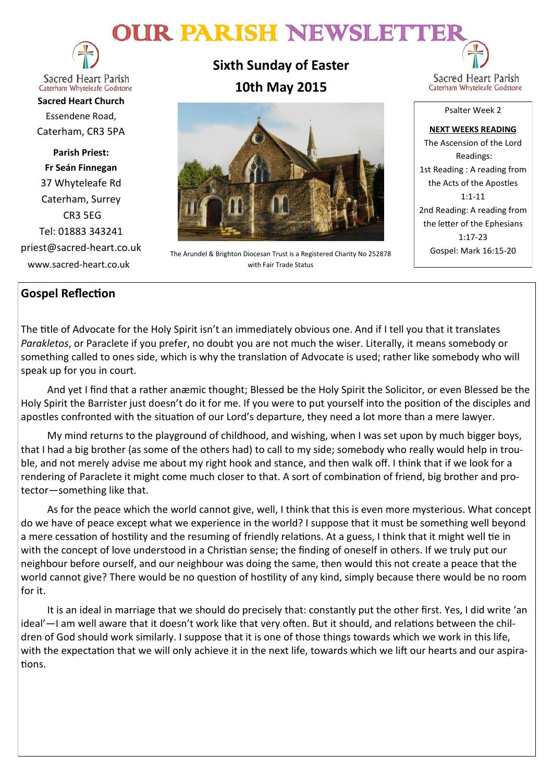# OUR PARISH NEWSLETTE



**Sacred Heart Parish** Caterham Whyteleafe Godstone

**Sacred Heart Church** Essendene Road, Caterham, CR3 5PA

**Parish Priest: Fr Seán Finnegan** 37 Whyteleafe Rd Caterham, Surrey CR3 5EG Tel: 01883 343241 priest@sacred-heart.co.uk www.sacred-heart.co.uk

**Sixth Sunday of Easter 10th May 2015**



The Arundel & Brighton Diocesan Trust is a Registered Charity No 252878 with Fair Trade Status

Sacred Heart Parish Caterham Whyteleafe Godstone

Psalter Week 2

**NEXT WEEKS READING** The Ascension of the Lord Readings: 1st Reading : A reading from the Acts of the Apostles 1:1-11 2nd Reading: A reading from the letter of the Ephesians 1:17-23 Gospel: Mark 16:15-20

## **Gospel Reflection**

The title of Advocate for the Holy Spirit isn't an immediately obvious one. And if I tell you that it translates *Parakletos*, or Paraclete if you prefer, no doubt you are not much the wiser. Literally, it means somebody or something called to ones side, which is why the translation of Advocate is used; rather like somebody who will speak up for you in court.

And yet I find that a rather anæmic thought; Blessed be the Holy Spirit the Solicitor, or even Blessed be the Holy Spirit the Barrister just doesn't do it for me. If you were to put yourself into the position of the disciples and apostles confronted with the situation of our Lord's departure, they need a lot more than a mere lawyer.

My mind returns to the playground of childhood, and wishing, when I was set upon by much bigger boys, that I had a big brother (as some of the others had) to call to my side; somebody who really would help in trouble, and not merely advise me about my right hook and stance, and then walk off. I think that if we look for a rendering of Paraclete it might come much closer to that. A sort of combination of friend, big brother and protector—something like that.

As for the peace which the world cannot give, well, I think that this is even more mysterious. What concept do we have of peace except what we experience in the world? I suppose that it must be something well beyond a mere cessation of hostility and the resuming of friendly relations. At a guess, I think that it might well tie in with the concept of love understood in a Christian sense; the finding of oneself in others. If we truly put our neighbour before ourself, and our neighbour was doing the same, then would this not create a peace that the world cannot give? There would be no question of hostility of any kind, simply because there would be no room for it.

It is an ideal in marriage that we should do precisely that: constantly put the other first. Yes, I did write 'an ideal'—I am well aware that it doesn't work like that very often. But it should, and relations between the children of God should work similarly. I suppose that it is one of those things towards which we work in this life, with the expectation that we will only achieve it in the next life, towards which we lift our hearts and our aspirations.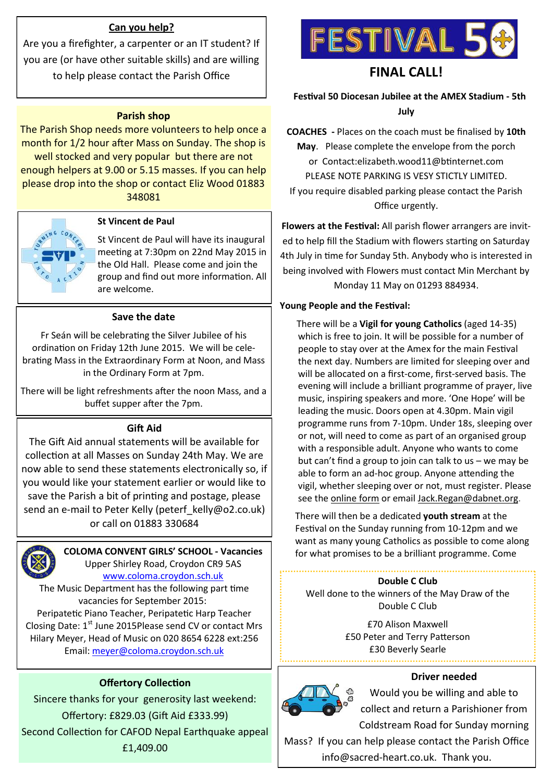## **Can you help?**

Are you a firefighter, a carpenter or an IT student? If you are (or have other suitable skills) and are willing to help please contact the Parish Office

## **Parish shop**

The Parish Shop needs more volunteers to help once a month for 1/2 hour after Mass on Sunday. The shop is well stocked and very popular but there are not enough helpers at 9.00 or 5.15 masses. If you can help please drop into the shop or contact Eliz Wood 01883 348081



## **St Vincent de Paul**

St Vincent de Paul will have its inaugural meeting at 7:30pm on 22nd May 2015 in the Old Hall. Please come and join the group and find out more information. All are welcome.

## **Save the date**

Fr Seán will be celebrating the Silver Jubilee of his ordination on Friday 12th June 2015. We will be celebrating Mass in the Extraordinary Form at Noon, and Mass in the Ordinary Form at 7pm.

There will be light refreshments after the noon Mass, and a buffet supper after the 7pm.

## **Gift Aid**

The Gift Aid annual statements will be available for collection at all Masses on Sunday 24th May. We are now able to send these statements electronically so, if you would like your statement earlier or would like to save the Parish a bit of printing and postage, please send an e-mail to Peter Kelly (peterf kelly@o2.co.uk) or call on 01883 330684



**COLOMA CONVENT GIRLS' SCHOOL - Vacancies** Upper Shirley Road, Croydon CR9 5AS

[www.coloma.croydon.sch.uk](http://www.coloma.croydon.sch.uk/) The Music Department has the following part time

vacancies for September 2015: Peripatetic Piano Teacher, Peripatetic Harp Teacher Closing Date: 1<sup>st</sup> June 2015Please send CV or contact Mrs Hilary Meyer, Head of Music on 020 8654 6228 ext:256 Email: [meyer@coloma.croydon.sch.uk](mailto:meyer@coloma.croydon.sch.uk)

## **Offertory Collection**

Sincere thanks for your generosity last weekend: Offertory: £829.03 (Gift Aid £333.99) Second Collection for CAFOD Nepal Earthquake appeal £1,409.00



## **FINAL CALL!**

 **Festival 50 Diocesan Jubilee at the AMEX Stadium - 5th July**

**COACHES -** Places on the coach must be finalised by **10th May**. Please complete the envelope from the porch or Contact:elizabeth.wood11@btinternet.com PLEASE NOTE PARKING IS VESY STICTLY LIMITED. If you require disabled parking please contact the Parish Office urgently.

**Flowers at the Festival:** All parish flower arrangers are invited to help fill the Stadium with flowers starting on Saturday 4th July in time for Sunday 5th. Anybody who is interested in being involved with Flowers must contact Min Merchant by Monday 11 May on 01293 884934.

## **Young People and the Festival:**

There will be a **Vigil for young Catholics** (aged 14-35) which is free to join. It will be possible for a number of people to stay over at the Amex for the main Festival the next day. Numbers are limited for sleeping over and will be allocated on a first-come, first-served basis. The evening will include a brilliant programme of prayer, live music, inspiring speakers and more. 'One Hope' will be leading the music. Doors open at 4.30pm. Main vigil programme runs from 7-10pm. Under 18s, sleeping over or not, will need to come as part of an organised group with a responsible adult. Anyone who wants to come but can't find a group to join can talk to us – we may be able to form an ad-hoc group. Anyone attending the vigil, whether sleeping over or not, must register. Please see the [online form](http://x4io.mj.am/link/x4io/i12igpg/14/FaRxyGd_nYjreriCpSiZpA/aHR0cDovL2JpdC5seS9mZXN0aXZhbDUweW91dGg) or email [Jack.Regan@dabnet.org.](mailto:Jack.Regan@dabnet.org?subject=Youth%20Vigil%20Festival%2050)

There will then be a dedicated **youth stream** at the Festival on the Sunday running from 10-12pm and we want as many young Catholics as possible to come along for what promises to be a brilliant programme. Come

## **Double C Club**

Well done to the winners of the May Draw of the Double C Club

> £70 Alison Maxwell £50 Peter and Terry Patterson £30 Beverly Searle

## **Driver needed**



Would you be willing and able to collect and return a Parishioner from Coldstream Road for Sunday morning

Mass? If you can help please contact the Parish Office info@sacred-heart.co.uk. Thank you.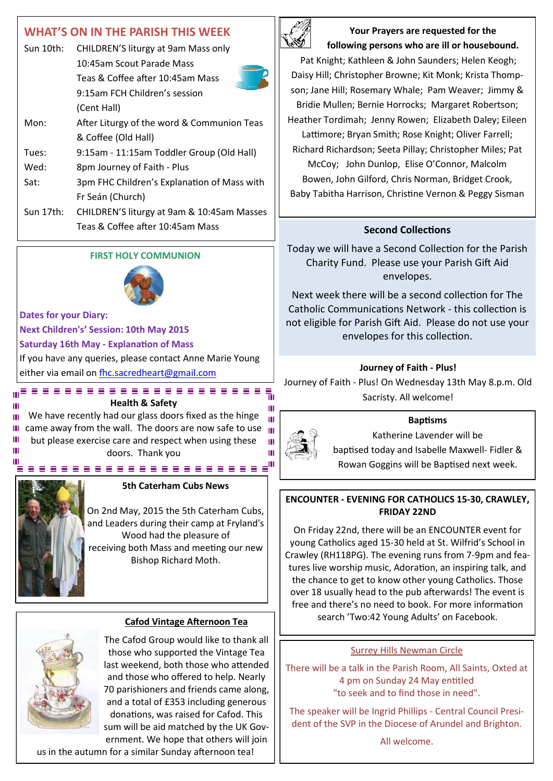## **WHAT'S ON IN THE PARISH THIS WEEK**

| Sun 10th: | CHILDREN'S liturgy at 9am Mass only         |  |
|-----------|---------------------------------------------|--|
|           | 10:45am Scout Parade Mass                   |  |
|           | Teas & Coffee after 10:45am Mass            |  |
|           | 9:15am FCH Children's session               |  |
|           | (Cent Hall)                                 |  |
| Mon:      | After Liturgy of the word & Communion Teas  |  |
|           | & Coffee (Old Hall)                         |  |
| Tues:     | 9:15am - 11:15am Toddler Group (Old Hall)   |  |
| Wed:      | 8pm Journey of Faith - Plus                 |  |
| Sat:      | 3pm FHC Children's Explanation of Mass with |  |
|           | Fr Seán (Church)                            |  |
| Sun 17th: | CHILDREN'S liturgy at 9am & 10:45am Masses  |  |
|           | Teas & Coffee after 10:45am Mass            |  |
|           |                                             |  |

## **FIRST HOLY COMMUNION**



## **Dates for your Diary:**

**Next Children's' Session: 10th May 2015 Saturday 16th May - Explanation of Mass** If you have any queries, please contact Anne Marie Young either via email on fhc.sacredheart@gmail.com

**Health & Safety** We have recently had our glass doors fixed as the hinge Ш  $\blacksquare$  came away from the wall. The doors are now safe to use  $\blacksquare$ Ш but please exercise care and respect when using these Ш doors. Thank you



## **5th Caterham Cubs News**

On 2nd May, 2015 the 5th Caterham Cubs, and Leaders during their camp at Fryland's Wood had the pleasure of receiving both Mass and meeting our new Bishop Richard Moth.



The Cafod Group would like to thank all those who supported the Vintage Tea last weekend, both those who attended and those who offered to help. Nearly 70 parishioners and friends came along, and a total of £353 including generous donations, was raised for Cafod. This sum will be aid matched by the UK Government. We hope that others will join

us in the autumn for a similar Sunday afternoon tea!



**Your Prayers are requested for the following persons who are ill or housebound.** 

Pat Knight; Kathleen & John Saunders; Helen Keogh; Daisy Hill; Christopher Browne; Kit Monk; Krista Thompson; Jane Hill; Rosemary Whale; Pam Weaver; Jimmy & Bridie Mullen; Bernie Horrocks; Margaret Robertson; Heather Tordimah; Jenny Rowen; Elizabeth Daley; Eileen Lattimore; Bryan Smith; Rose Knight; Oliver Farrell; Richard Richardson; Seeta Pillay; Christopher Miles; Pat McCoy; John Dunlop, Elise O'Connor, Malcolm Bowen, John Gilford, Chris Norman, Bridget Crook, Baby Tabitha Harrison, Christine Vernon & Peggy Sisman

## **Second Collections**

Today we will have a Second Collection for the Parish Charity Fund. Please use your Parish Gift Aid envelopes.

Next week there will be a second collection for The Catholic Communications Network - this collection is not eligible for Parish Gift Aid. Please do not use your envelopes for this collection.

## **Journey of Faith - Plus!**

Journey of Faith - Plus! On Wednesday 13th May 8.p.m. Old Sacristy. All welcome!

## **Baptisms**



Ш

m

 $\mathbf{H}$ 

Ш

Katherine Lavender will be baptised today and Isabelle Maxwell- Fidler & Rowan Goggins will be Baptised next week.

## **ENCOUNTER - EVENING FOR CATHOLICS 15-30, CRAWLEY, FRIDAY 22ND**

On Friday 22nd, there will be an ENCOUNTER event for young Catholics aged 15-30 held at St. Wilfrid's School in Crawley (RH118PG). The evening runs from 7-9pm and features live worship music, Adoration, an inspiring talk, and the chance to get to know other young Catholics. Those over 18 usually head to the pub afterwards! The event is free and there's no need to book. For more information search 'Two:42 Young Adults' on Facebook. **Cafod Vintage Afternoon Tea**

## Surrey Hills Newman Circle

There will be a talk in the Parish Room, All Saints, Oxted at 4 pm on Sunday 24 May entitled "to seek and to find those in need".

The speaker will be Ingrid Phillips - Central Council President of the SVP in the Diocese of Arundel and Brighton.

All welcome.